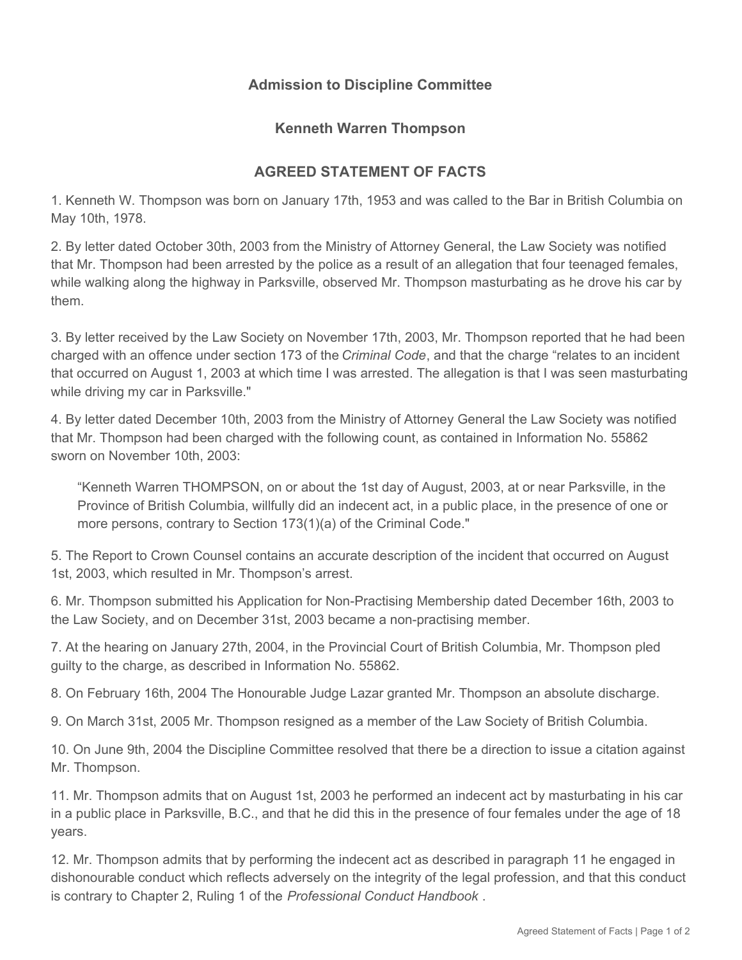## **Admission to Discipline Committee**

## **Kenneth Warren Thompson**

## **AGREED STATEMENT OF FACTS**

1. Kenneth W. Thompson was born on January 17th, 1953 and was called to the Bar in British Columbia on May 10th, 1978.

2. By letter dated October 30th, 2003 from the Ministry of Attorney General, the Law Society was notified that Mr. Thompson had been arrested by the police as a result of an allegation that four teenaged females, while walking along the highway in Parksville, observed Mr. Thompson masturbating as he drove his car by them.

3. By letter received by the Law Society on November 17th, 2003, Mr. Thompson reported that he had been charged with an offence under section 173 of the *Criminal Code*, and that the charge "relates to an incident that occurred on August 1, 2003 at which time I was arrested. The allegation is that I was seen masturbating while driving my car in Parksville."

4. By letter dated December 10th, 2003 from the Ministry of Attorney General the Law Society was notified that Mr. Thompson had been charged with the following count, as contained in Information No. 55862 sworn on November 10th, 2003:

"Kenneth Warren THOMPSON, on or about the 1st day of August, 2003, at or near Parksville, in the Province of British Columbia, willfully did an indecent act, in a public place, in the presence of one or more persons, contrary to Section 173(1)(a) of the Criminal Code."

5. The Report to Crown Counsel contains an accurate description of the incident that occurred on August 1st, 2003, which resulted in Mr. Thompson's arrest.

6. Mr. Thompson submitted his Application for Non-Practising Membership dated December 16th, 2003 to the Law Society, and on December 31st, 2003 became a non-practising member.

7. At the hearing on January 27th, 2004, in the Provincial Court of British Columbia, Mr. Thompson pled guilty to the charge, as described in Information No. 55862.

8. On February 16th, 2004 The Honourable Judge Lazar granted Mr. Thompson an absolute discharge.

9. On March 31st, 2005 Mr. Thompson resigned as a member of the Law Society of British Columbia.

10. On June 9th, 2004 the Discipline Committee resolved that there be a direction to issue a citation against Mr. Thompson.

11. Mr. Thompson admits that on August 1st, 2003 he performed an indecent act by masturbating in his car in a public place in Parksville, B.C., and that he did this in the presence of four females under the age of 18 years.

12. Mr. Thompson admits that by performing the indecent act as described in paragraph 11 he engaged in dishonourable conduct which reflects adversely on the integrity of the legal profession, and that this conduct is contrary to Chapter 2, Ruling 1 of the *Professional Conduct Handbook* .